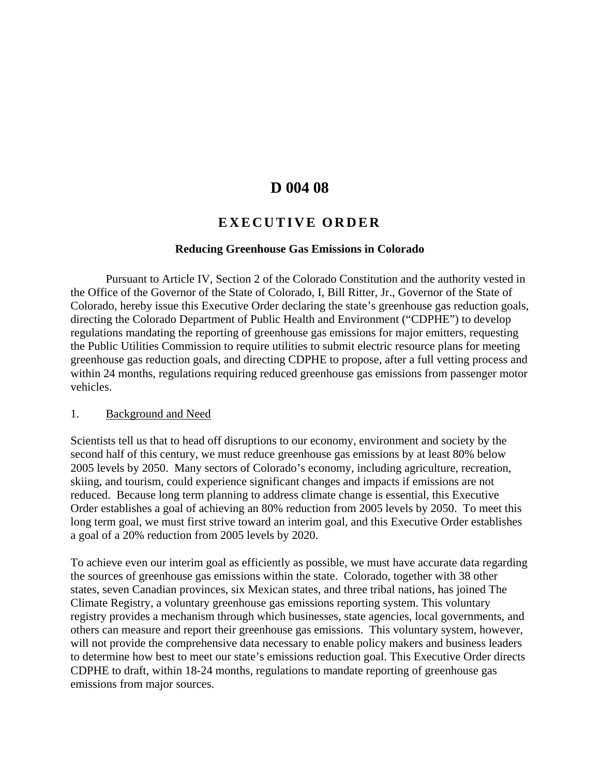# **D 004 08**

# **EXECUTIVE ORDER**

#### **Reducing Greenhouse Gas Emissions in Colorado**

Pursuant to Article IV, Section 2 of the Colorado Constitution and the authority vested in the Office of the Governor of the State of Colorado, I, Bill Ritter, Jr., Governor of the State of Colorado, hereby issue this Executive Order declaring the state's greenhouse gas reduction goals, directing the Colorado Department of Public Health and Environment ("CDPHE") to develop regulations mandating the reporting of greenhouse gas emissions for major emitters, requesting the Public Utilities Commission to require utilities to submit electric resource plans for meeting greenhouse gas reduction goals, and directing CDPHE to propose, after a full vetting process and within 24 months, regulations requiring reduced greenhouse gas emissions from passenger motor vehicles.

#### 1. Background and Need

Scientists tell us that to head off disruptions to our economy, environment and society by the second half of this century, we must reduce greenhouse gas emissions by at least 80% below 2005 levels by 2050. Many sectors of Colorado's economy, including agriculture, recreation, skiing, and tourism, could experience significant changes and impacts if emissions are not reduced. Because long term planning to address climate change is essential, this Executive Order establishes a goal of achieving an 80% reduction from 2005 levels by 2050. To meet this long term goal, we must first strive toward an interim goal, and this Executive Order establishes a goal of a 20% reduction from 2005 levels by 2020.

To achieve even our interim goal as efficiently as possible, we must have accurate data regarding the sources of greenhouse gas emissions within the state. Colorado, together with 38 other states, seven Canadian provinces, six Mexican states, and three tribal nations, has joined The Climate Registry, a voluntary greenhouse gas emissions reporting system. This voluntary registry provides a mechanism through which businesses, state agencies, local governments, and others can measure and report their greenhouse gas emissions. This voluntary system, however, will not provide the comprehensive data necessary to enable policy makers and business leaders to determine how best to meet our state's emissions reduction goal. This Executive Order directs CDPHE to draft, within 18-24 months, regulations to mandate reporting of greenhouse gas emissions from major sources.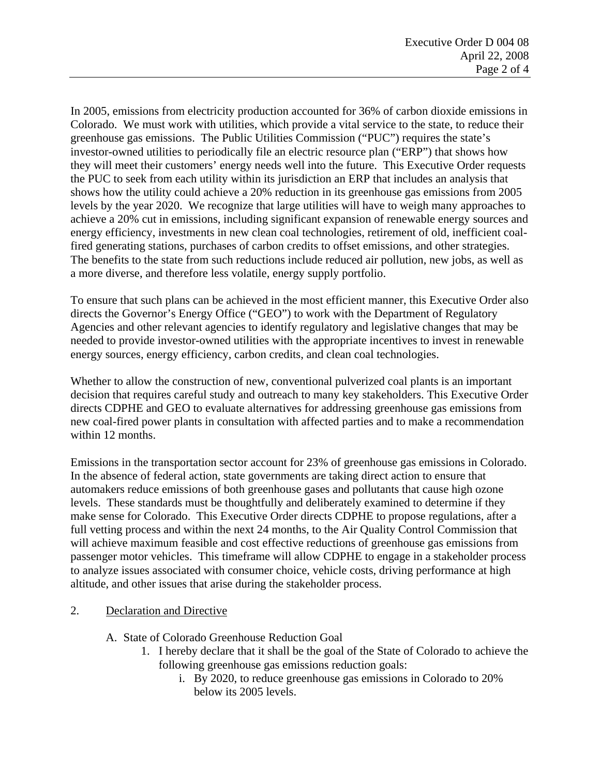In 2005, emissions from electricity production accounted for 36% of carbon dioxide emissions in Colorado. We must work with utilities, which provide a vital service to the state, to reduce their greenhouse gas emissions. The Public Utilities Commission ("PUC") requires the state's investor-owned utilities to periodically file an electric resource plan ("ERP") that shows how they will meet their customers' energy needs well into the future. This Executive Order requests the PUC to seek from each utility within its jurisdiction an ERP that includes an analysis that shows how the utility could achieve a 20% reduction in its greenhouse gas emissions from 2005 levels by the year 2020. We recognize that large utilities will have to weigh many approaches to achieve a 20% cut in emissions, including significant expansion of renewable energy sources and energy efficiency, investments in new clean coal technologies, retirement of old, inefficient coalfired generating stations, purchases of carbon credits to offset emissions, and other strategies. The benefits to the state from such reductions include reduced air pollution, new jobs, as well as a more diverse, and therefore less volatile, energy supply portfolio.

To ensure that such plans can be achieved in the most efficient manner, this Executive Order also directs the Governor's Energy Office ("GEO") to work with the Department of Regulatory Agencies and other relevant agencies to identify regulatory and legislative changes that may be needed to provide investor-owned utilities with the appropriate incentives to invest in renewable energy sources, energy efficiency, carbon credits, and clean coal technologies.

Whether to allow the construction of new, conventional pulverized coal plants is an important decision that requires careful study and outreach to many key stakeholders. This Executive Order directs CDPHE and GEO to evaluate alternatives for addressing greenhouse gas emissions from new coal-fired power plants in consultation with affected parties and to make a recommendation within 12 months.

Emissions in the transportation sector account for 23% of greenhouse gas emissions in Colorado. In the absence of federal action, state governments are taking direct action to ensure that automakers reduce emissions of both greenhouse gases and pollutants that cause high ozone levels. These standards must be thoughtfully and deliberately examined to determine if they make sense for Colorado. This Executive Order directs CDPHE to propose regulations, after a full vetting process and within the next 24 months, to the Air Quality Control Commission that will achieve maximum feasible and cost effective reductions of greenhouse gas emissions from passenger motor vehicles. This timeframe will allow CDPHE to engage in a stakeholder process to analyze issues associated with consumer choice, vehicle costs, driving performance at high altitude, and other issues that arise during the stakeholder process.

## 2. Declaration and Directive

## A. State of Colorado Greenhouse Reduction Goal

- 1. I hereby declare that it shall be the goal of the State of Colorado to achieve the following greenhouse gas emissions reduction goals:
	- i. By 2020, to reduce greenhouse gas emissions in Colorado to 20% below its 2005 levels.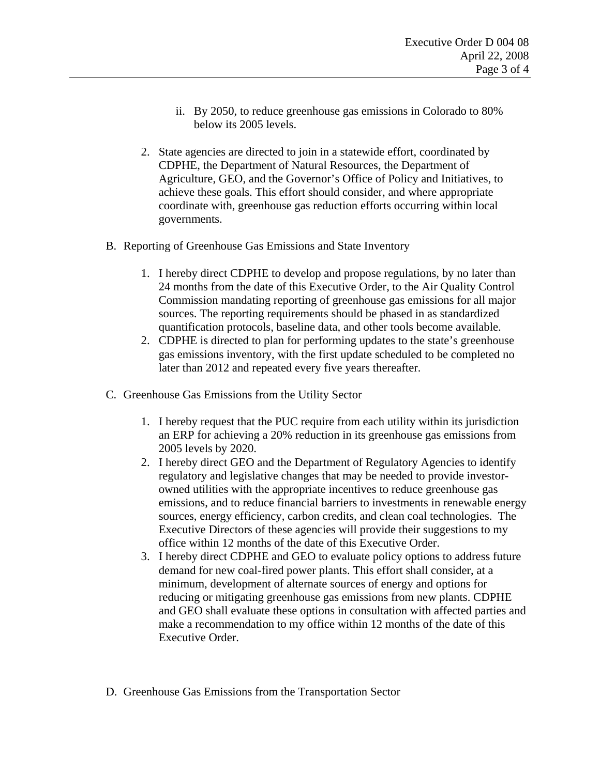- ii. By 2050, to reduce greenhouse gas emissions in Colorado to 80% below its 2005 levels.
- 2. State agencies are directed to join in a statewide effort, coordinated by CDPHE, the Department of Natural Resources, the Department of Agriculture, GEO, and the Governor's Office of Policy and Initiatives, to achieve these goals. This effort should consider, and where appropriate coordinate with, greenhouse gas reduction efforts occurring within local governments.
- B. Reporting of Greenhouse Gas Emissions and State Inventory
	- 1. I hereby direct CDPHE to develop and propose regulations, by no later than 24 months from the date of this Executive Order, to the Air Quality Control Commission mandating reporting of greenhouse gas emissions for all major sources. The reporting requirements should be phased in as standardized quantification protocols, baseline data, and other tools become available.
	- 2. CDPHE is directed to plan for performing updates to the state's greenhouse gas emissions inventory, with the first update scheduled to be completed no later than 2012 and repeated every five years thereafter.
- C. Greenhouse Gas Emissions from the Utility Sector
	- 1. I hereby request that the PUC require from each utility within its jurisdiction an ERP for achieving a 20% reduction in its greenhouse gas emissions from 2005 levels by 2020.
	- 2. I hereby direct GEO and the Department of Regulatory Agencies to identify regulatory and legislative changes that may be needed to provide investorowned utilities with the appropriate incentives to reduce greenhouse gas emissions, and to reduce financial barriers to investments in renewable energy sources, energy efficiency, carbon credits, and clean coal technologies. The Executive Directors of these agencies will provide their suggestions to my office within 12 months of the date of this Executive Order.
	- 3. I hereby direct CDPHE and GEO to evaluate policy options to address future demand for new coal-fired power plants. This effort shall consider, at a minimum, development of alternate sources of energy and options for reducing or mitigating greenhouse gas emissions from new plants. CDPHE and GEO shall evaluate these options in consultation with affected parties and make a recommendation to my office within 12 months of the date of this Executive Order.
- D. Greenhouse Gas Emissions from the Transportation Sector